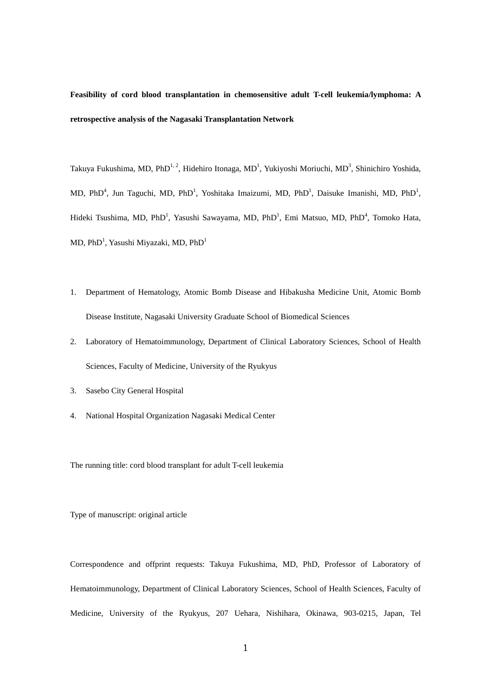# **Feasibility of cord blood transplantation in chemosensitive adult T-cell leukemia/lymphoma: A retrospective analysis of the Nagasaki Transplantation Network**

Takuya Fukushima, MD, PhD $^{1,2}$ , Hidehiro Itonaga, MD<sup>1</sup>, Yukiyoshi Moriuchi, MD<sup>3</sup>, Shinichiro Yoshida, MD, PhD<sup>4</sup>, Jun Taguchi, MD, PhD<sup>1</sup>, Yoshitaka Imaizumi, MD, PhD<sup>1</sup>, Daisuke Imanishi, MD, PhD<sup>1</sup>, Hideki Tsushima, MD, PhD<sup>1</sup>, Yasushi Sawayama, MD, PhD<sup>1</sup>, Emi Matsuo, MD, PhD<sup>4</sup>, Tomoko Hata, MD, PhD $^{\rm l}$ , Yasushi Miyazaki, MD, PhD $^{\rm l}$ 

- 1. Department of Hematology, Atomic Bomb Disease and Hibakusha Medicine Unit, Atomic Bomb Disease Institute, Nagasaki University Graduate School of Biomedical Sciences
- 2. Laboratory of Hematoimmunology, Department of Clinical Laboratory Sciences, School of Health Sciences, Faculty of Medicine, University of the Ryukyus
- 3. Sasebo City General Hospital
- 4. National Hospital Organization Nagasaki Medical Center

The running title: cord blood transplant for adult T-cell leukemia

Type of manuscript: original article

Correspondence and offprint requests: Takuya Fukushima, MD, PhD, Professor of Laboratory of Hematoimmunology, Department of Clinical Laboratory Sciences, School of Health Sciences, Faculty of Medicine, University of the Ryukyus, 207 Uehara, Nishihara, Okinawa, 903-0215, Japan, Tel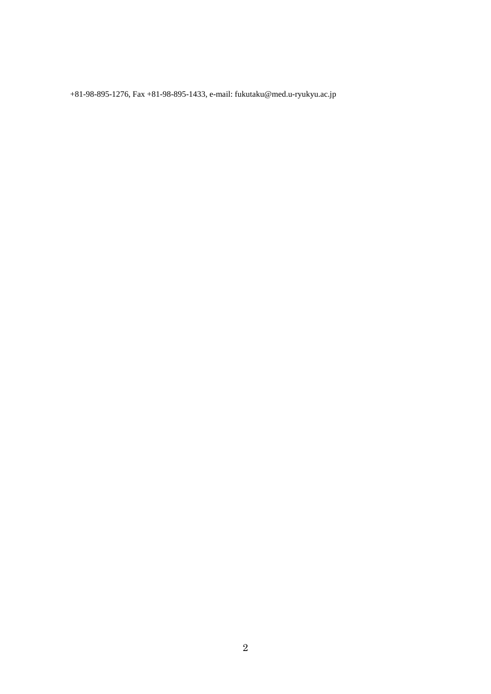+81-98-895-1276, Fax +81-98-895-1433, e-mail[: fukutaku@med.u-ryukyu.ac.jp](mailto:fukutaku@med.u-ryukyu.ac.jp)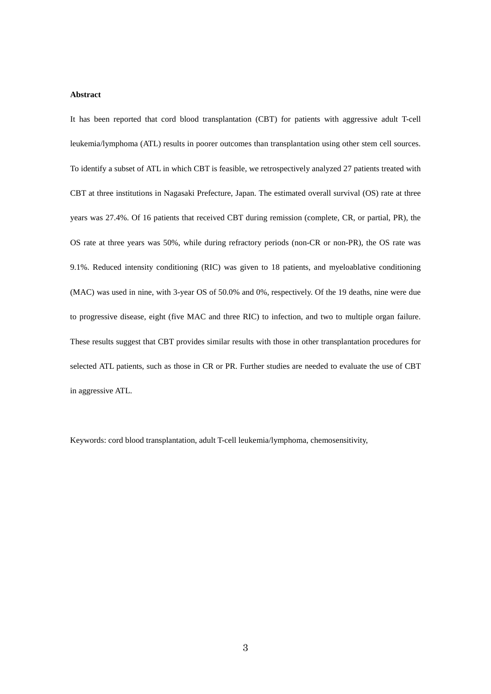## **Abstract**

It has been reported that cord blood transplantation (CBT) for patients with aggressive adult T-cell leukemia/lymphoma (ATL) results in poorer outcomes than transplantation using other stem cell sources. To identify a subset of ATL in which CBT is feasible, we retrospectively analyzed 27 patients treated with CBT at three institutions in Nagasaki Prefecture, Japan. The estimated overall survival (OS) rate at three years was 27.4%. Of 16 patients that received CBT during remission (complete, CR, or partial, PR), the OS rate at three years was 50%, while during refractory periods (non-CR or non-PR), the OS rate was 9.1%. Reduced intensity conditioning (RIC) was given to 18 patients, and myeloablative conditioning (MAC) was used in nine, with 3-year OS of 50.0% and 0%, respectively. Of the 19 deaths, nine were due to progressive disease, eight (five MAC and three RIC) to infection, and two to multiple organ failure. These results suggest that CBT provides similar results with those in other transplantation procedures for selected ATL patients, such as those in CR or PR. Further studies are needed to evaluate the use of CBT in aggressive ATL.

Keywords: cord blood transplantation, adult T-cell leukemia/lymphoma, chemosensitivity,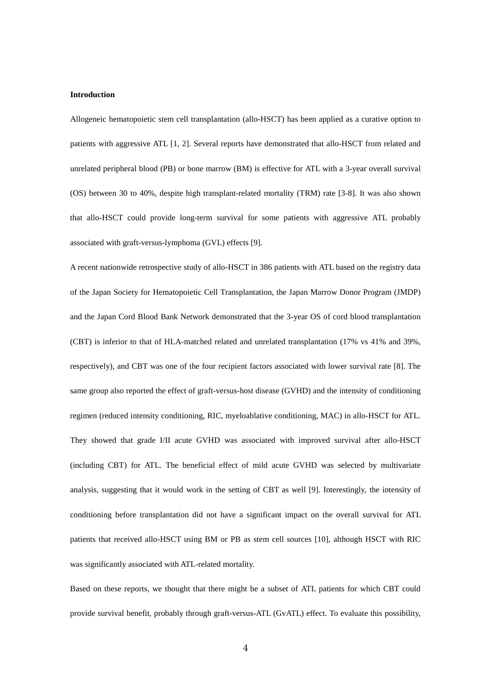## **Introduction**

Allogeneic hematopoietic stem cell transplantation (allo-HSCT) has been applied as a curative option to patients with aggressive ATL [1, 2]. Several reports have demonstrated that allo-HSCT from related and unrelated peripheral blood (PB) or bone marrow (BM) is effective for ATL with a 3-year overall survival (OS) between 30 to 40%, despite high transplant-related mortality (TRM) rate [3-8]. It was also shown that allo-HSCT could provide long-term survival for some patients with aggressive ATL probably associated with graft-versus-lymphoma (GVL) effects [9].

A recent nationwide retrospective study of allo-HSCT in 386 patients with ATL based on the registry data of the Japan Society for Hematopoietic Cell Transplantation, the Japan Marrow Donor Program (JMDP) and the Japan Cord Blood Bank Network demonstrated that the 3-year OS of cord blood transplantation (CBT) is inferior to that of HLA-matched related and unrelated transplantation (17% vs 41% and 39%, respectively), and CBT was one of the four recipient factors associated with lower survival rate [8]. The same group also reported the effect of graft-versus-host disease (GVHD) and the intensity of conditioning regimen (reduced intensity conditioning, RIC, myeloablative conditioning, MAC) in allo-HSCT for ATL. They showed that grade I/II acute GVHD was associated with improved survival after allo-HSCT (including CBT) for ATL. The beneficial effect of mild acute GVHD was selected by multivariate analysis, suggesting that it would work in the setting of CBT as well [9]. Interestingly, the intensity of conditioning before transplantation did not have a significant impact on the overall survival for ATL patients that received allo-HSCT using BM or PB as stem cell sources [10], although HSCT with RIC was significantly associated with ATL-related mortality.

Based on these reports, we thought that there might be a subset of ATL patients for which CBT could provide survival benefit, probably through graft-versus-ATL (GvATL) effect. To evaluate this possibility,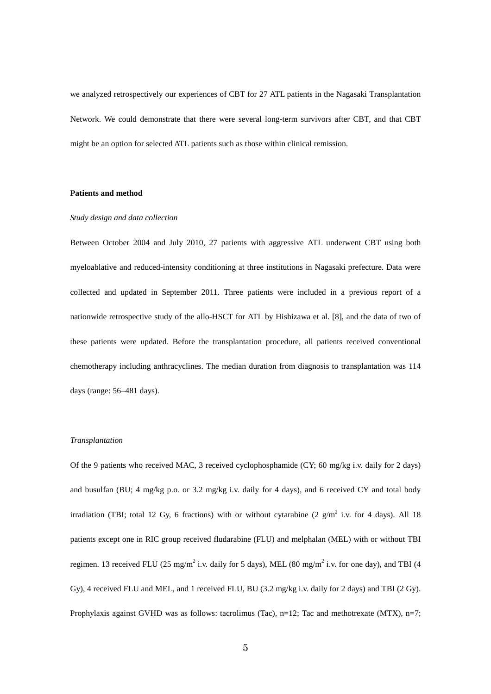we analyzed retrospectively our experiences of CBT for 27 ATL patients in the Nagasaki Transplantation Network. We could demonstrate that there were several long-term survivors after CBT, and that CBT might be an option for selected ATL patients such as those within clinical remission.

## **Patients and method**

## *Study design and data collection*

Between October 2004 and July 2010, 27 patients with aggressive ATL underwent CBT using both myeloablative and reduced-intensity conditioning at three institutions in Nagasaki prefecture. Data were collected and updated in September 2011. Three patients were included in a previous report of a nationwide retrospective study of the allo-HSCT for ATL by Hishizawa et al. [8], and the data of two of these patients were updated. Before the transplantation procedure, all patients received conventional chemotherapy including anthracyclines. The median duration from diagnosis to transplantation was 114 days (range: 56–481 days).

## *Transplantation*

Of the 9 patients who received MAC, 3 received cyclophosphamide (CY; 60 mg/kg i.v. daily for 2 days) and busulfan (BU; 4 mg/kg p.o. or 3.2 mg/kg i.v. daily for 4 days), and 6 received CY and total body irradiation (TBI; total 12 Gy, 6 fractions) with or without cytarabine (2  $g/m^2$  i.v. for 4 days). All 18 patients except one in RIC group received fludarabine (FLU) and melphalan (MEL) with or without TBI regimen. 13 received FLU (25 mg/m<sup>2</sup> i.v. daily for 5 days), MEL (80 mg/m<sup>2</sup> i.v. for one day), and TBI (4 Gy), 4 received FLU and MEL, and 1 received FLU, BU (3.2 mg/kg i.v. daily for 2 days) and TBI (2 Gy). Prophylaxis against GVHD was as follows: tacrolimus (Tac), n=12; Tac and methotrexate (MTX), n=7;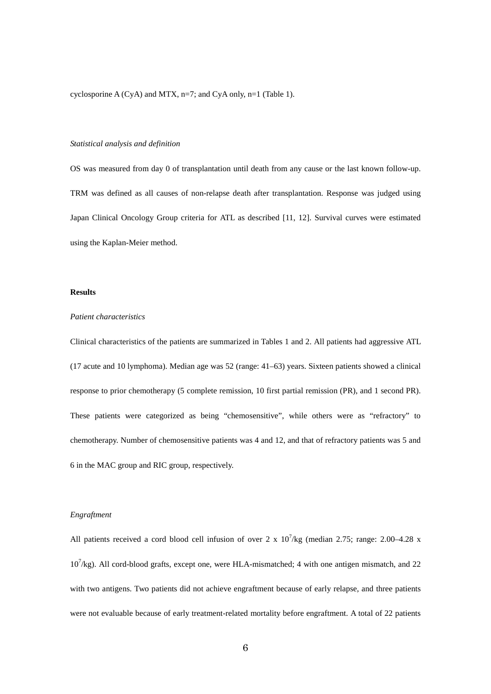cyclosporine A (CyA) and MTX, n=7; and CyA only, n=1 (Table 1).

## *Statistical analysis and definition*

OS was measured from day 0 of transplantation until death from any cause or the last known follow-up. TRM was defined as all causes of non-relapse death after transplantation. Response was judged using Japan Clinical Oncology Group criteria for ATL as described [11, 12]. Survival curves were estimated using the Kaplan-Meier method.

## **Results**

#### *Patient characteristics*

Clinical characteristics of the patients are summarized in Tables 1 and 2. All patients had aggressive ATL (17 acute and 10 lymphoma). Median age was 52 (range: 41–63) years. Sixteen patients showed a clinical response to prior chemotherapy (5 complete remission, 10 first partial remission (PR), and 1 second PR). These patients were categorized as being "chemosensitive", while others were as "refractory" to chemotherapy. Number of chemosensitive patients was 4 and 12, and that of refractory patients was 5 and 6 in the MAC group and RIC group, respectively.

# *Engraftment*

All patients received a cord blood cell infusion of over 2 x  $10^7$ /kg (median 2.75; range: 2.00–4.28 x  $10^7$ /kg). All cord-blood grafts, except one, were HLA-mismatched; 4 with one antigen mismatch, and 22 with two antigens. Two patients did not achieve engraftment because of early relapse, and three patients were not evaluable because of early treatment-related mortality before engraftment. A total of 22 patients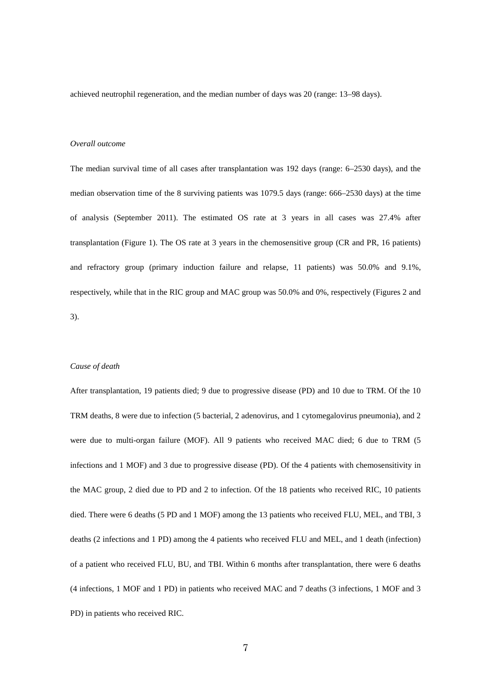achieved neutrophil regeneration, and the median number of days was 20 (range: 13–98 days).

## *Overall outcome*

The median survival time of all cases after transplantation was 192 days (range: 6–2530 days), and the median observation time of the 8 surviving patients was 1079.5 days (range: 666–2530 days) at the time of analysis (September 2011). The estimated OS rate at 3 years in all cases was 27.4% after transplantation (Figure 1). The OS rate at 3 years in the chemosensitive group (CR and PR, 16 patients) and refractory group (primary induction failure and relapse, 11 patients) was 50.0% and 9.1%, respectively, while that in the RIC group and MAC group was 50.0% and 0%, respectively (Figures 2 and 3).

## *Cause of death*

After transplantation, 19 patients died; 9 due to progressive disease (PD) and 10 due to TRM. Of the 10 TRM deaths, 8 were due to infection (5 bacterial, 2 adenovirus, and 1 cytomegalovirus pneumonia), and 2 were due to multi-organ failure (MOF). All 9 patients who received MAC died; 6 due to TRM (5 infections and 1 MOF) and 3 due to progressive disease (PD). Of the 4 patients with chemosensitivity in the MAC group, 2 died due to PD and 2 to infection. Of the 18 patients who received RIC, 10 patients died. There were 6 deaths (5 PD and 1 MOF) among the 13 patients who received FLU, MEL, and TBI, 3 deaths (2 infections and 1 PD) among the 4 patients who received FLU and MEL, and 1 death (infection) of a patient who received FLU, BU, and TBI. Within 6 months after transplantation, there were 6 deaths (4 infections, 1 MOF and 1 PD) in patients who received MAC and 7 deaths (3 infections, 1 MOF and 3 PD) in patients who received RIC.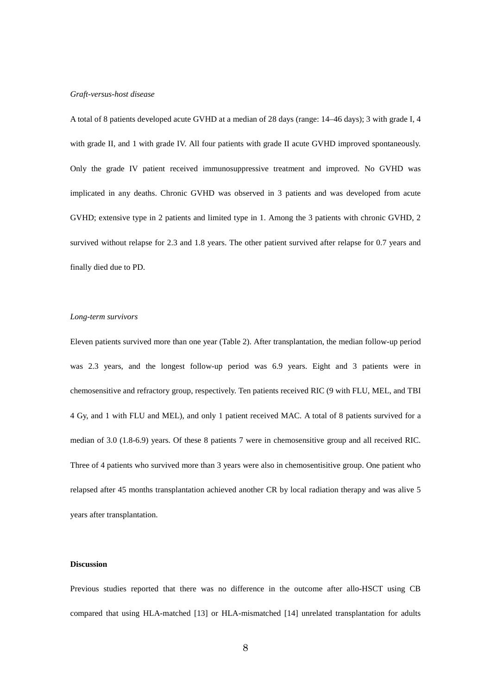#### *Graft-versus-host disease*

A total of 8 patients developed acute GVHD at a median of 28 days (range: 14–46 days); 3 with grade I, 4 with grade II, and 1 with grade IV. All four patients with grade II acute GVHD improved spontaneously. Only the grade IV patient received immunosuppressive treatment and improved. No GVHD was implicated in any deaths. Chronic GVHD was observed in 3 patients and was developed from acute GVHD; extensive type in 2 patients and limited type in 1. Among the 3 patients with chronic GVHD, 2 survived without relapse for 2.3 and 1.8 years. The other patient survived after relapse for 0.7 years and finally died due to PD.

## *Long-term survivors*

Eleven patients survived more than one year (Table 2). After transplantation, the median follow-up period was 2.3 years, and the longest follow-up period was 6.9 years. Eight and 3 patients were in chemosensitive and refractory group, respectively. Ten patients received RIC (9 with FLU, MEL, and TBI 4 Gy, and 1 with FLU and MEL), and only 1 patient received MAC. A total of 8 patients survived for a median of 3.0 (1.8-6.9) years. Of these 8 patients 7 were in chemosensitive group and all received RIC. Three of 4 patients who survived more than 3 years were also in chemosentisitive group. One patient who relapsed after 45 months transplantation achieved another CR by local radiation therapy and was alive 5 years after transplantation.

#### **Discussion**

Previous studies reported that there was no difference in the outcome after allo-HSCT using CB compared that using HLA-matched [13] or HLA-mismatched [14] unrelated transplantation for adults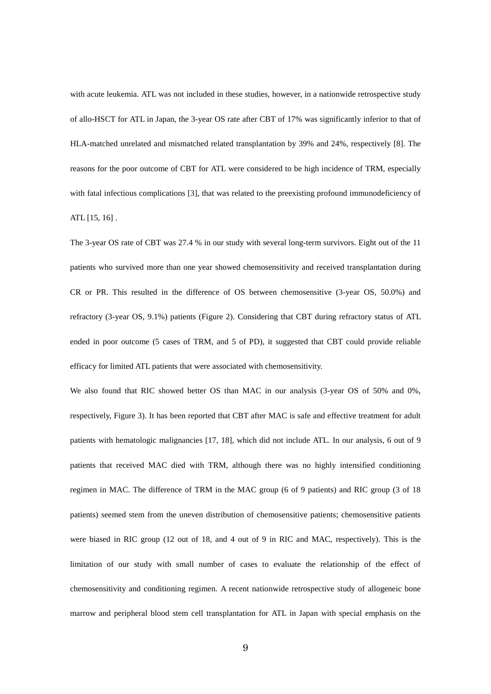with acute leukemia. ATL was not included in these studies, however, in a nationwide retrospective study of allo-HSCT for ATL in Japan, the 3-year OS rate after CBT of 17% was significantly inferior to that of HLA-matched unrelated and mismatched related transplantation by 39% and 24%, respectively [8]. The reasons for the poor outcome of CBT for ATL were considered to be high incidence of TRM, especially with fatal infectious complications [3], that was related to the preexisting profound immunodeficiency of ATL [15, 16] .

The 3-year OS rate of CBT was 27.4 % in our study with several long-term survivors. Eight out of the 11 patients who survived more than one year showed chemosensitivity and received transplantation during CR or PR. This resulted in the difference of OS between chemosensitive (3-year OS, 50.0%) and refractory (3-year OS, 9.1%) patients (Figure 2). Considering that CBT during refractory status of ATL ended in poor outcome (5 cases of TRM, and 5 of PD), it suggested that CBT could provide reliable efficacy for limited ATL patients that were associated with chemosensitivity.

We also found that RIC showed better OS than MAC in our analysis (3-year OS of 50% and 0%, respectively, Figure 3). It has been reported that CBT after MAC is safe and effective treatment for adult patients with hematologic malignancies [17, 18], which did not include ATL. In our analysis, 6 out of 9 patients that received MAC died with TRM, although there was no highly intensified conditioning regimen in MAC. The difference of TRM in the MAC group (6 of 9 patients) and RIC group (3 of 18 patients) seemed stem from the uneven distribution of chemosensitive patients; chemosensitive patients were biased in RIC group (12 out of 18, and 4 out of 9 in RIC and MAC, respectively). This is the limitation of our study with small number of cases to evaluate the relationship of the effect of chemosensitivity and conditioning regimen. A recent nationwide retrospective study of allogeneic bone marrow and peripheral blood stem cell transplantation for ATL in Japan with special emphasis on the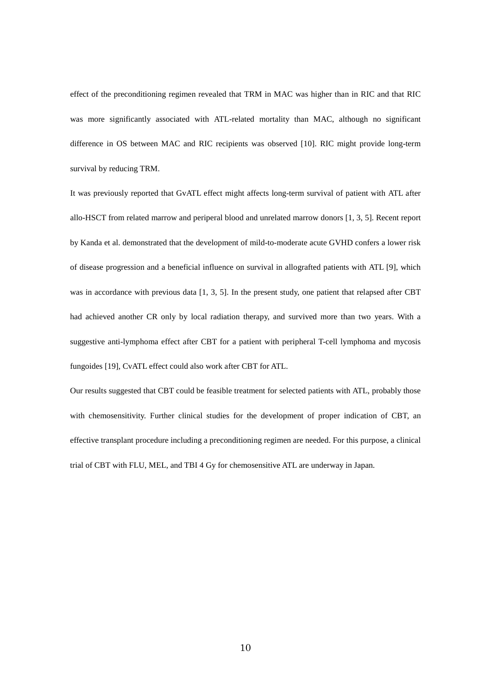effect of the preconditioning regimen revealed that TRM in MAC was higher than in RIC and that RIC was more significantly associated with ATL-related mortality than MAC, although no significant difference in OS between MAC and RIC recipients was observed [10]. RIC might provide long-term survival by reducing TRM.

It was previously reported that GvATL effect might affects long-term survival of patient with ATL after allo-HSCT from related marrow and periperal blood and unrelated marrow donors [1, 3, 5]. Recent report by Kanda et al. demonstrated that the development of mild-to-moderate acute GVHD confers a lower risk of disease progression and a beneficial influence on survival in allografted patients with ATL [9], which was in accordance with previous data [1, 3, 5]. In the present study, one patient that relapsed after CBT had achieved another CR only by local radiation therapy, and survived more than two years. With a suggestive anti-lymphoma effect after CBT for a patient with peripheral T-cell lymphoma and mycosis fungoides [19], CvATL effect could also work after CBT for ATL.

Our results suggested that CBT could be feasible treatment for selected patients with ATL, probably those with chemosensitivity. Further clinical studies for the development of proper indication of CBT, an effective transplant procedure including a preconditioning regimen are needed. For this purpose, a clinical trial of CBT with FLU, MEL, and TBI 4 Gy for chemosensitive ATL are underway in Japan.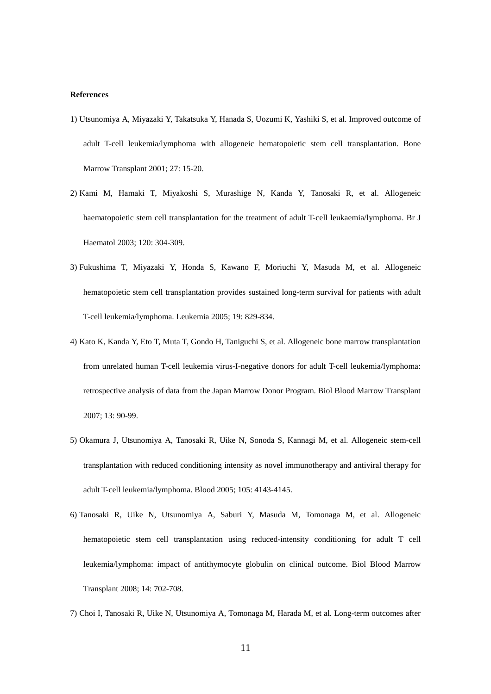#### **References**

- 1) Utsunomiya A, Miyazaki Y, Takatsuka Y, Hanada S, Uozumi K, Yashiki S, et al. Improved outcome of adult T-cell leukemia/lymphoma with allogeneic hematopoietic stem cell transplantation. Bone Marrow Transplant 2001; 27: 15-20.
- 2) Kami M, Hamaki T, Miyakoshi S, Murashige N, Kanda Y, Tanosaki R, et al. Allogeneic haematopoietic stem cell transplantation for the treatment of adult T-cell leukaemia/lymphoma. Br J Haematol 2003; 120: 304-309.
- 3) Fukushima T, Miyazaki Y, Honda S, Kawano F, Moriuchi Y, Masuda M, et al. Allogeneic hematopoietic stem cell transplantation provides sustained long-term survival for patients with adult T-cell leukemia/lymphoma. Leukemia 2005; 19: 829-834.
- 4) Kato K, Kanda Y, Eto T, Muta T, Gondo H, Taniguchi S, et al. Allogeneic bone marrow transplantation from unrelated human T-cell leukemia virus-I-negative donors for adult T-cell leukemia/lymphoma: retrospective analysis of data from the Japan Marrow Donor Program. Biol Blood Marrow Transplant 2007; 13: 90-99.
- 5) Okamura J, Utsunomiya A, Tanosaki R, Uike N, Sonoda S, Kannagi M, et al. Allogeneic stem-cell transplantation with reduced conditioning intensity as novel immunotherapy and antiviral therapy for adult T-cell leukemia/lymphoma. Blood 2005; 105: 4143-4145.
- 6) Tanosaki R, Uike N, Utsunomiya A, Saburi Y, Masuda M, Tomonaga M, et al. Allogeneic hematopoietic stem cell transplantation using reduced-intensity conditioning for adult T cell leukemia/lymphoma: impact of antithymocyte globulin on clinical outcome. Biol Blood Marrow Transplant 2008; 14: 702-708.
- 7) Choi I, Tanosaki R, Uike N, Utsunomiya A, Tomonaga M, Harada M, et al. Long-term outcomes after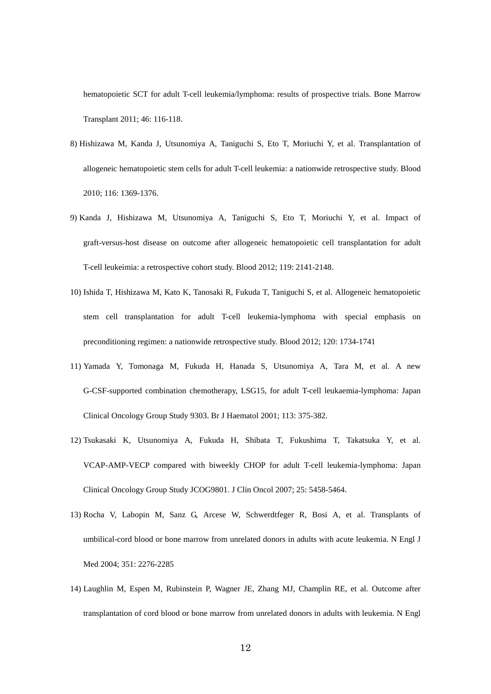hematopoietic SCT for adult T-cell leukemia/lymphoma: results of prospective trials. Bone Marrow Transplant 2011; 46: 116-118.

- 8) Hishizawa M, Kanda J, Utsunomiya A, Taniguchi S, Eto T, Moriuchi Y, et al. Transplantation of allogeneic hematopoietic stem cells for adult T-cell leukemia: a nationwide retrospective study. Blood 2010; 116: 1369-1376.
- 9) Kanda J, Hishizawa M, Utsunomiya A, Taniguchi S, Eto T, Moriuchi Y, et al. Impact of graft-versus-host disease on outcome after allogeneic hematopoietic cell transplantation for adult T-cell leukeimia: a retrospective cohort study. Blood 2012; 119: 2141-2148.
- 10) Ishida T, Hishizawa M, Kato K, Tanosaki R, Fukuda T, Taniguchi S, et al. Allogeneic hematopoietic stem cell transplantation for adult T-cell leukemia-lymphoma with special emphasis on preconditioning regimen: a nationwide retrospective study. Blood 2012; 120: 1734-1741
- 11) Yamada Y, Tomonaga M, Fukuda H, Hanada S, Utsunomiya A, Tara M, et al. A new G-CSF-supported combination chemotherapy, LSG15, for adult T-cell leukaemia-lymphoma: Japan Clinical Oncology Group Study 9303. Br J Haematol 2001; 113: 375-382.
- 12) Tsukasaki K, Utsunomiya A, Fukuda H, Shibata T, Fukushima T, Takatsuka Y, et al. VCAP-AMP-VECP compared with biweekly CHOP for adult T-cell leukemia-lymphoma: Japan Clinical Oncology Group Study JCOG9801. J Clin Oncol 2007; 25: 5458-5464.
- 13) Rocha V, Labopin M, Sanz G, Arcese W, Schwerdtfeger R, Bosi A, et al. Transplants of umbilical-cord blood or bone marrow from unrelated donors in adults with acute leukemia. N Engl J Med 2004; 351: 2276-2285
- 14) Laughlin M, Espen M, Rubinstein P, Wagner JE, Zhang MJ, Champlin RE, et al. Outcome after transplantation of cord blood or bone marrow from unrelated donors in adults with leukemia. N Engl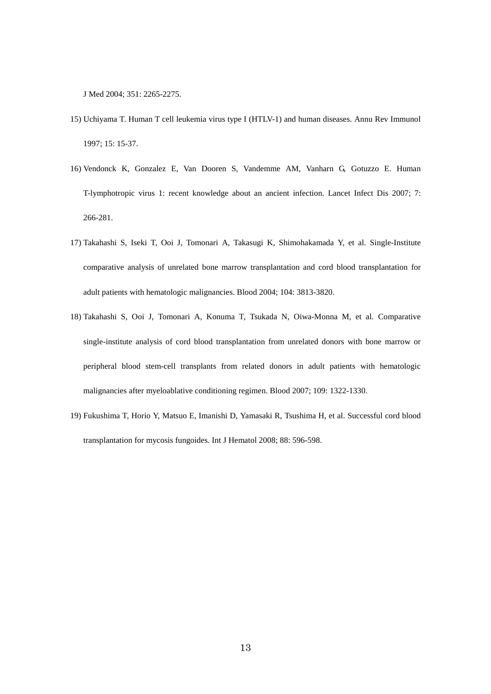J Med 2004; 351: 2265-2275.

- 15) Uchiyama T. Human T cell leukemia virus type I (HTLV-1) and human diseases. Annu Rev Immunol 1997; 15: 15-37.
- 16) Vendonck K, Gonzalez E, Van Dooren S, Vandemme AM, Vanharn G, Gotuzzo E. Human T-lymphotropic virus 1: recent knowledge about an ancient infection. Lancet Infect Dis 2007; 7: 266-281.
- 17) Takahashi S, Iseki T, Ooi J, Tomonari A, Takasugi K, Shimohakamada Y, et al. Single-Institute comparative analysis of unrelated bone marrow transplantation and cord blood transplantation for adult patients with hematologic malignancies. Blood 2004; 104: 3813-3820.
- 18) Takahashi S, Ooi J, Tomonari A, Konuma T, Tsukada N, Oiwa-Monna M, et al. Comparative single-institute analysis of cord blood transplantation from unrelated donors with bone marrow or peripheral blood stem-cell transplants from related donors in adult patients with hematologic malignancies after myeloablative conditioning regimen. Blood 2007; 109: 1322-1330.
- 19) Fukushima T, Horio Y, Matsuo E, Imanishi D, Yamasaki R, Tsushima H, et al. Successful cord blood transplantation for mycosis fungoides. Int J Hematol 2008; 88: 596-598.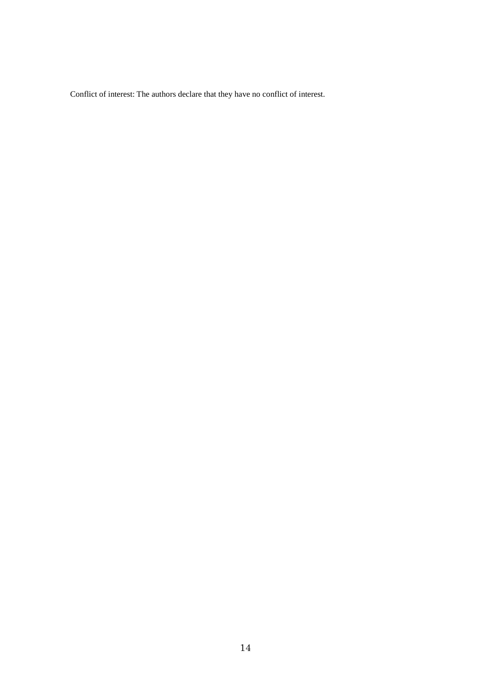Conflict of interest: The authors declare that they have no conflict of interest.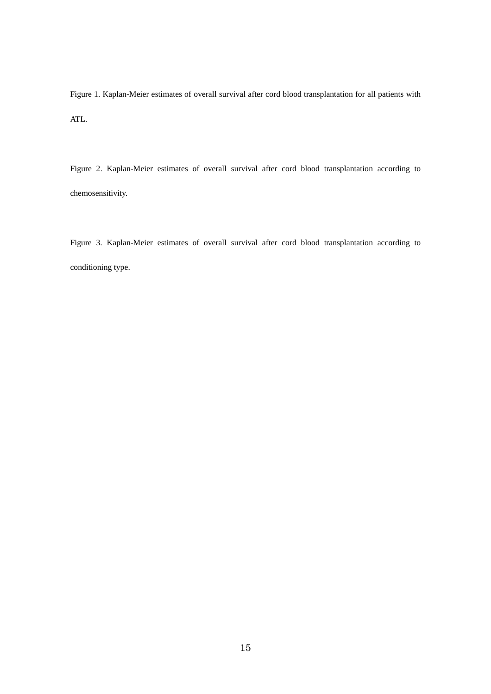Figure 1. Kaplan-Meier estimates of overall survival after cord blood transplantation for all patients with ATL.

Figure 2. Kaplan-Meier estimates of overall survival after cord blood transplantation according to chemosensitivity.

Figure 3. Kaplan-Meier estimates of overall survival after cord blood transplantation according to conditioning type.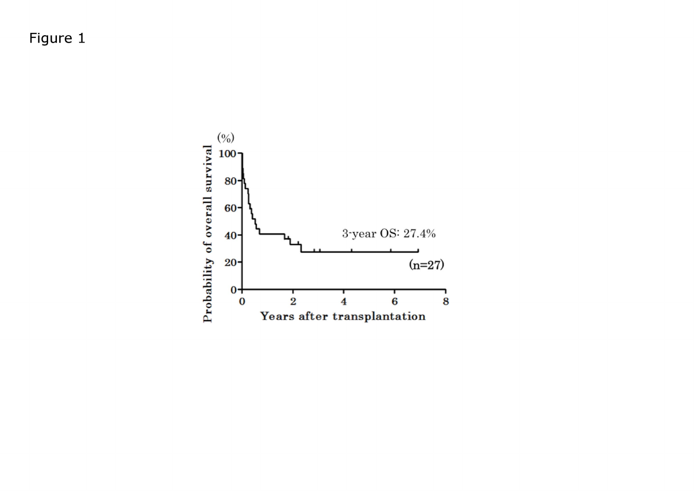Figure 1

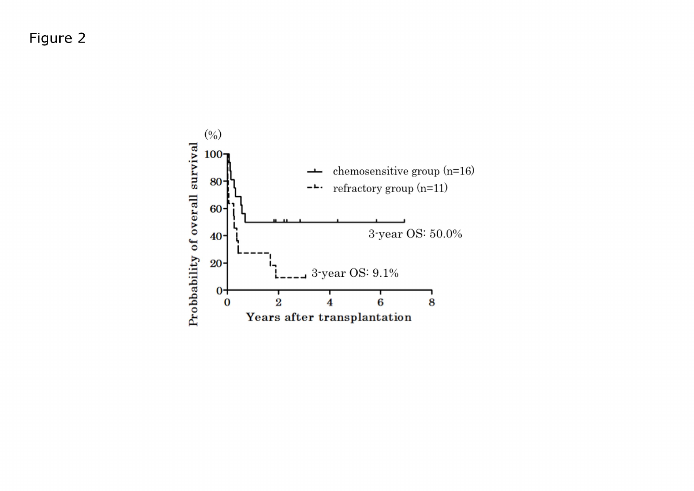Figure 2

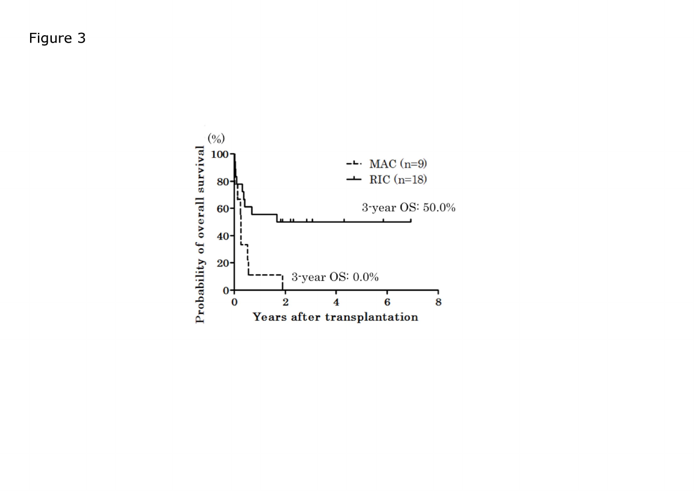Figure 3

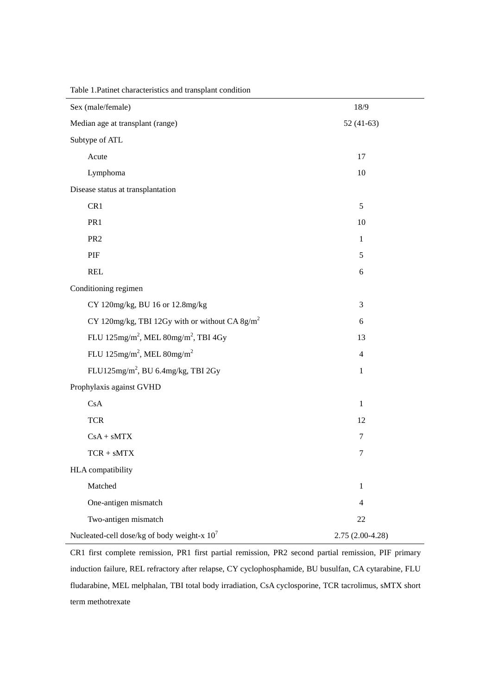| Sex (male/female)                                            | 18/9               |  |  |  |  |
|--------------------------------------------------------------|--------------------|--|--|--|--|
| Median age at transplant (range)<br>$52(41-63)$              |                    |  |  |  |  |
| Subtype of ATL                                               |                    |  |  |  |  |
| Acute                                                        | 17                 |  |  |  |  |
| Lymphoma                                                     | 10                 |  |  |  |  |
| Disease status at transplantation                            |                    |  |  |  |  |
| CR1                                                          | 5                  |  |  |  |  |
| PR1                                                          | 10<br>$\mathbf{1}$ |  |  |  |  |
| PR <sub>2</sub>                                              |                    |  |  |  |  |
| PIF                                                          | 5                  |  |  |  |  |
| <b>REL</b>                                                   | 6                  |  |  |  |  |
| Conditioning regimen                                         |                    |  |  |  |  |
| CY 120mg/kg, BU 16 or 12.8mg/kg                              | $\mathfrak{Z}$     |  |  |  |  |
| CY 120mg/kg, TBI 12Gy with or without CA 8g/m <sup>2</sup>   | 6                  |  |  |  |  |
| FLU 125mg/m <sup>2</sup> , MEL 80mg/m <sup>2</sup> , TBI 4Gy | 13                 |  |  |  |  |
| FLU 125mg/m <sup>2</sup> , MEL 80mg/m <sup>2</sup>           | $\overline{4}$     |  |  |  |  |
| FLU125mg/m <sup>2</sup> , BU 6.4mg/kg, TBI 2Gy               | $\mathbf{1}$       |  |  |  |  |
| Prophylaxis against GVHD                                     |                    |  |  |  |  |
| CsA                                                          | $\mathbf{1}$       |  |  |  |  |
| <b>TCR</b>                                                   | 12                 |  |  |  |  |
| $CsA + sMTX$                                                 | $\tau$             |  |  |  |  |
| $TCR + sMTX$                                                 | $\tau$             |  |  |  |  |
| HLA compatibility                                            |                    |  |  |  |  |
| Matched                                                      | $\mathbf{1}$       |  |  |  |  |
| One-antigen mismatch                                         | $\overline{4}$     |  |  |  |  |
| Two-antigen mismatch                                         | 22                 |  |  |  |  |
| Nucleated-cell dose/kg of body weight-x $10^7$               | $2.75(2.00-4.28)$  |  |  |  |  |

Table 1.Patinet characteristics and transplant condition

CR1 first complete remission, PR1 first partial remission, PR2 second partial remission, PIF primary induction failure, REL refractory after relapse, CY cyclophosphamide, BU busulfan, CA cytarabine, FLU fludarabine, MEL melphalan, TBI total body irradiation, CsA cyclosporine, TCR tacrolimus, sMTX short term methotrexate